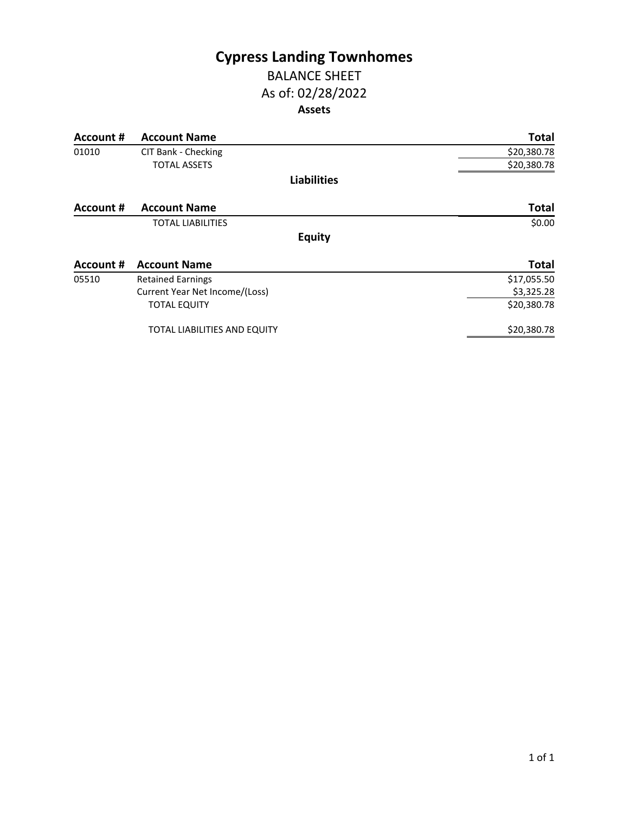## **Cypress Landing Townhomes** BALANCE SHEET

# As of: 02/28/2022 **Assets**

| Account #        | <b>Account Name</b>                 | <b>Total</b> |
|------------------|-------------------------------------|--------------|
| 01010            | CIT Bank - Checking                 | \$20,380.78  |
|                  | <b>TOTAL ASSETS</b>                 | \$20,380.78  |
|                  | <b>Liabilities</b>                  |              |
| Account #        | <b>Account Name</b>                 | <b>Total</b> |
|                  | <b>TOTAL LIABILITIES</b>            | \$0.00       |
|                  | <b>Equity</b>                       |              |
| <b>Account #</b> | <b>Account Name</b>                 | <b>Total</b> |
| 05510            | <b>Retained Earnings</b>            | \$17,055.50  |
|                  | Current Year Net Income/(Loss)      | \$3,325.28   |
|                  | <b>TOTAL EQUITY</b>                 | \$20,380.78  |
|                  | <b>TOTAL LIABILITIES AND EQUITY</b> | \$20,380.78  |